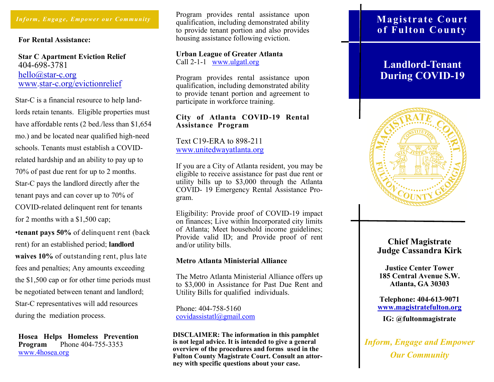#### *Inform, Engage, Empower our Community*

#### **For Rental Assistance:**

**Star C Apartment Eviction Relief**  404-698-3781 [hello@star](mailto:hello@star-c.org)-c.org www.star-[c.org/evictionrelief](https://star-c.org/evictionrelief/) 

Star-C is a financial resource to help landlords retain tenants. Eligible properties must have affordable rents (2 bed./less than \$1,654 mo.) and be located near qualified high-need schools. Tenants must establish a COVIDrelated hardship and an ability to pay up to 70% of past due rent for up to 2 months. Star-C pays the landlord directly after the tenant pays and can cover up to 70% of COVID-related delinquent rent for tenants for 2 months with a \$1,500 cap;

•**tenant pays 50%** of delinquent rent (back rent) for an established period; **landlord waives 10%** of outstanding rent, plus late fees and penalties; Any amounts exceeding the \$1,500 cap or for other time periods must be negotiated between tenant and landlord; Star-C representatives will add resources during the mediation process.

**Hosea Helps Homeless Prevention Program** Phone 404-755-3353 www.4hosea.org

Program provides rental assistance upon qualification, including demonstrated ability to provide tenant portion and also provides housing assistance following eviction.

#### **Urban League of Greater Atlanta** Call 2-1-1 www.ulgatl.org

Program provides rental assistance upon qualification, including demonstrated ability to provide tenant portion and agreement to participate in workforce training.

#### **City of Atlanta COVID-19 Rental Assistance Program**

Text C19-ERA to 898-211 [www.unitedwayatlanta.org](https://www.unitedwayatlanta.org/) 

If you are a City of Atlanta resident, you may be eligible to receive assistance for past due rent or utility bills up to \$3,000 through the Atlanta COVID- 19 Emergency Rental Assistance Program.

Eligibility: Provide proof of COVID-19 impact on finances; Live within Incorporated city limits of Atlanta; Meet household income guidelines; Provide valid ID; and Provide proof of rent and/or utility bills.

#### **Metro Atlanta Ministerial Alliance**

The Metro Atlanta Ministerial Alliance offers up to \$3,000 in Assistance for Past Due Rent and Utility Bills for qualified individuals.

Phone: 404-758-5160 covidassistatl@gmail.com

**DISCLAIMER: The information in this pamphlet is not legal advice. It is intended to give a general overview of the procedures and forms used in the Fulton County Magistrate Court. Consult an attorney with specific questions about your case.** 

# **Magistrate Court of Fulton County**

# **Landlord-Tenant During COVID-19**



## **Chief Magistrate Judge Cassandra Kirk**

**Justice Center Tower 185 Central Avenue S.W. Atlanta, GA 30303** 

**Telephone: 404-613-9071 www.magistratefulton.org** 

**IG: @fultonmagistrate**

*Inform, Engage and Empower Our Community*